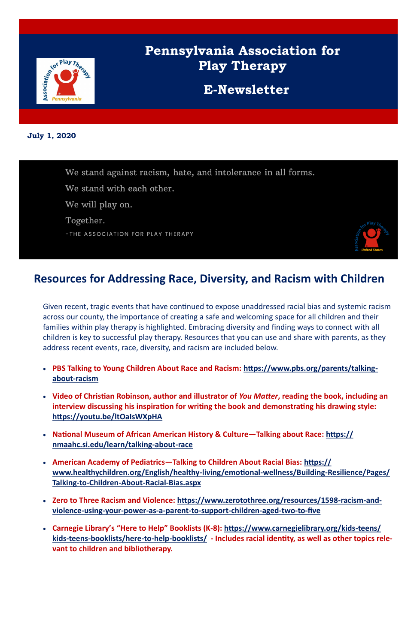

# **Pennsylvania Association for Play Therapy**

**E-Newsletter**

**July 1, 2020**



### **Resources for Addressing Race, Diversity, and Racism with Children**

Given recent, tragic events that have continued to expose unaddressed racial bias and systemic racism across our county, the importance of creating a safe and welcoming space for all children and their families within play therapy is highlighted. Embracing diversity and finding ways to connect with all children is key to successful play therapy. Resources that you can use and share with parents, as they address recent events, race, diversity, and racism are included below.

- **PBS Talking to Young Children About Race and Racism: https://www.pbs.org/parents/talkingabout-racism**
- **Video of Christian Robinson, author and illustrator of** *You Matter***, reading the book, including an interview discussing his inspiration for writing the book and demonstrating his drawing style: https://youtu.be/ltOaIsWXpHA**
- **National Museum of African American History & Culture—Talking about Race: https:// nmaahc.si.edu/learn/talking-about-race**
- **American Academy of Pediatrics—Talking to Children About Racial Bias: https:// www.healthychildren.org/English/healthy-living/emotional-wellness/Building-Resilience/Pages/ Talking-to-Children-About-Racial-Bias.aspx**
- **Zero to Three Racism and Violence: https://www.zerotothree.org/resources/1598-racism-and**violence-using-your-power-as-a-parent-to-support-children-aged-two-to-five
- **Carnegie Library's "Here to Help" Booklists (K-8): https://www.carnegielibrary.org/kids-teens/ kids-teens-booklists/here-to-help-booklists/ - Includes racial identity, as well as other topics relevant to children and bibliotherapy.**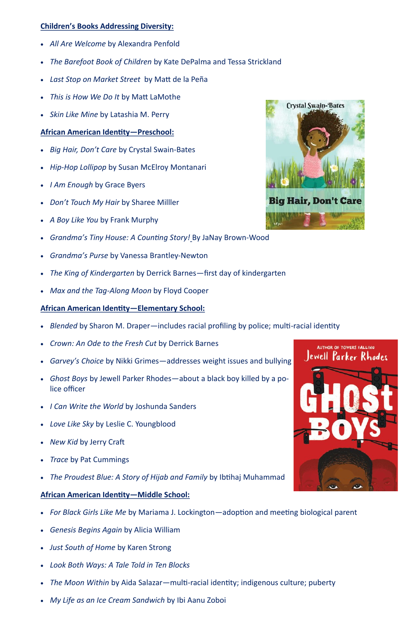#### **Children's Books Addressing Diversity:**

- *All Are Welcome* by Alexandra Penfold
- *The Barefoot Book of Children* by Kate DePalma and Tessa Strickland
- *Last Stop on Market Street* by Matt de la Peña
- *This is How We Do It* by Matt LaMothe
- *Skin Like Mine* by Latashia M. Perry

#### **African American Identity—Preschool:**

- *Big Hair, Don't Care* by Crystal Swain-Bates
- *Hip-Hop Lollipop* by Susan McElroy Montanari
- *I Am Enough* by Grace Byers
- *Don't Touch My Hair* by Sharee Milller
- *A Boy Like You* by Frank Murphy
- *Grandma's Tiny House: A Counting Story!* By JaNay Brown-Wood
- *Grandma's Purse* by Vanessa Brantley-Newton
- *The King of Kindergarten* by Derrick Barnes—first day of kindergarten
- *Max and the Tag-Along Moon* by Floyd Cooper

#### **African American Identity—Elementary School:**

- *Blended* by Sharon M. Draper—includes racial profiling by police; multi-racial identity
- *Crown: An Ode to the Fresh Cut* by Derrick Barnes
- *Garvey's Choice* by Nikki Grimes—addresses weight issues and bullying
- *Ghost Boys* by Jewell Parker Rhodes—about a black boy killed by a police officer
- *I Can Write the World* by Joshunda Sanders
- *Love Like Sky* by Leslie C. Youngblood
- *New Kid* by Jerry Craft
- *Trace* by Pat Cummings





• *The Proudest Blue: A Story of Hijab and Family* by Ibtihaj Muhammad



#### **African American Identity—Middle School:**

- *For Black Girls Like Me* by Mariama J. Lockington—adoption and meeting biological parent
- *Genesis Begins Again* by Alicia William
- *Just South of Home* by Karen Strong
- *Look Both Ways: A Tale Told in Ten Blocks*
- *The Moon Within* by Aida Salazar—multi-racial identity; indigenous culture; puberty
- *My Life as an Ice Cream Sandwich* by Ibi Aanu Zoboi